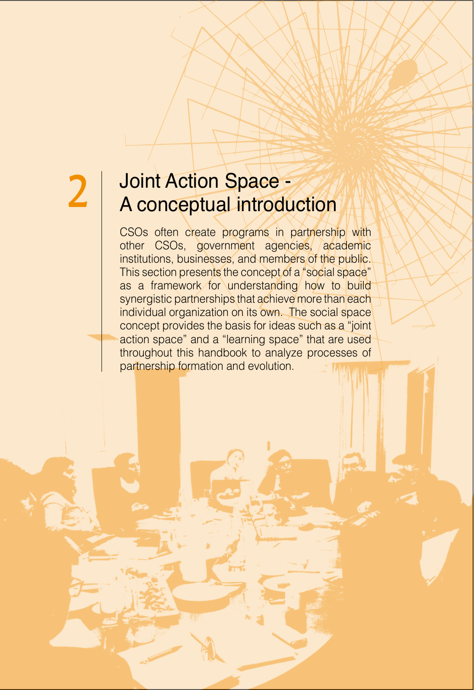| 93

## 2 Joint Action Space - Space - Space Action 1

CSOs often create programs in partnership with other CSOs, government agencies, academic institutions, businesses, and members of the public. This section presents the concept of a "social space" as a framework for understanding how to build synergistic partnerships that achieve more than each individual organization on its own. The social space concept provides the basis for ideas such as a "joint" action space" and a "learning space" that are used throughout this handbook to analyze processes of partnership formation and evolution.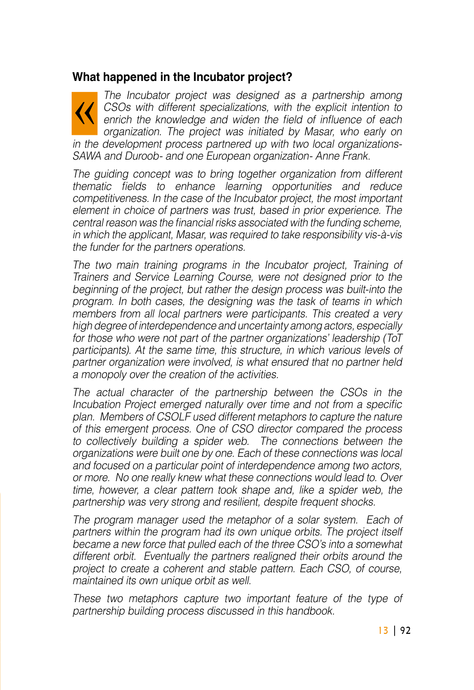## **What happened in the Incubator project?**

The Incubator project was designed as a partnership among  $CSOs$  with different specializations, with the explicit intention to enrich the knowledge and widen the field of influence of each organization. The project was initiated by Masar, who early on SAWA and Duroob- and one European organization- Anne Frank. in the development process partnered up with two local organizations-

The quiding concept was to bring together organization from different thematic fields to enhance learning opportunities and reduce competitiveness. In the case of the Incubator project, the most important element in choice of partners was trust, based in prior experience. The central reason was the financial risks associated with the funding scheme. in which the applicant, Masar, was required to take responsibility vis-à-vis the funder for the partners operations.

The two main training programs in the Incubator project, Training of Trainers and Service Learning Course, were not designed prior to the beginning of the project, but rather the design process was built-into the program. In both cases, the designing was the task of teams in which members from all local partners were participants. This created a very high degree of interdependence and uncertainty among actors, especially for those who were not part of the partner organizations' leadership (ToT participants). At the same time, this structure, in which various levels of partner organization were involved, is what ensured that no partner held a monopoly over the creation of the activities.

The actual character of the partnership between the CSOs in the Incubation Project emerged naturally over time and not from a specific plan. Members of CSOLF used different metaphors to capture the nature of this emergent process. One of CSO director compared the process to collectively building a spider web. The connections between the organizations were built one by one. Each of these connections was local and focused on a particular point of interdependence among two actors. or more. No one really knew what these connections would lead to. Over time, however, a clear pattern took shape and, like a spider web, the partnership was very strong and resilient, despite frequent shocks.

The program manager used the metaphor of a solar system. Each of partners within the program had its own unique orbits. The project itself became a new force that pulled each of the three CSO's into a somewhat different orbit. Eventually the partners realigned their orbits around the project to create a coherent and stable pattern. Each CSO, of course, maintained its own unique orbit as well.

These two metaphors capture two important feature of the type of partnership building process discussed in this handbook.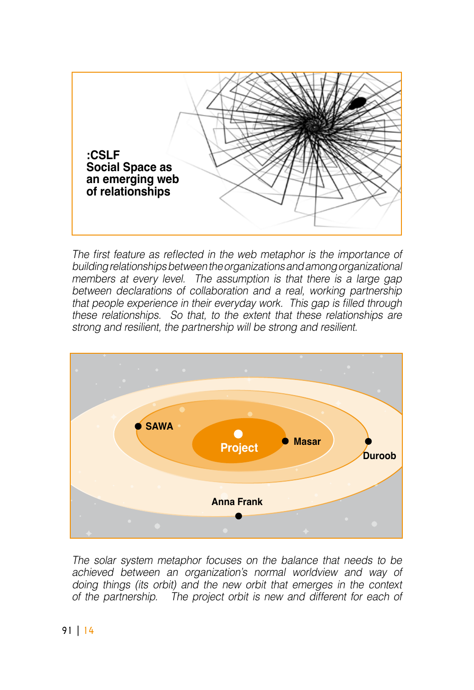

The first feature as reflected in the web metaphor is the importance of building relationships between the organizations and among organizational members at every level. The assumption is that there is a large gap between declarations of collaboration and a real, working partnership that people experience in their everyday work. This gap is filled through these relationships. So that, to the extent that these relationships are strong and resilient, the partnership will be strong and resilient.



The solar system metaphor focuses on the balance that needs to be achieved between an organization's normal worldview and way of doing things (its orbit) and the new orbit that emerges in the context of the partnership. The project orbit is new and different for each of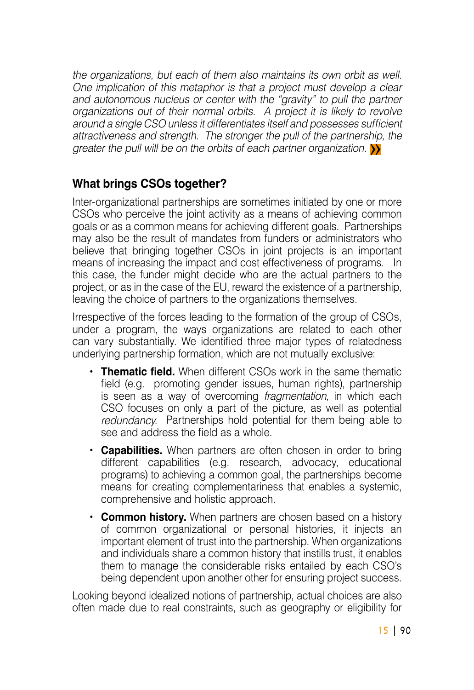the organizations, but each of them also maintains its own orbit as well. One implication of this metaphor is that a project must develop a clear and autonomous nucleus or center with the "gravity" to pull the partner organizations out of their normal orbits. A project it is likely to revolve around a single CSO unless it differentiates itself and possesses sufficient attractiveness and strength. The stronger the pull of the partnership, the greater the pull will be on the orbits of each partner organization.  $\sum$ 

## **What brings CSOs together?**

Inter-organizational partnerships are sometimes initiated by one or more CSOs who perceive the joint activity as a means of achieving common goals or as a common means for achieving different goals. Partnerships may also be the result of mandates from funders or administrators who believe that bringing together CSOs in joint projects is an important means of increasing the impact and cost effectiveness of programs. In this case, the funder might decide who are the actual partners to the project, or as in the case of the EU, reward the existence of a partnership, leaving the choice of partners to the organizations themselves.

Irrespective of the forces leading to the formation of the group of CSOs, under a program, the ways organizations are related to each other can vary substantially. We identified three major types of relatedness underlying partnership formation, which are not mutually exclusive:

- **Thematic field.** When different CSOs work in the same thematic field (e.g. promoting gender issues, human rights), partnership is seen as a way of overcoming *fragmentation*, in which each CSO focuses on only a part of the picture, as well as potential redundancy. Partnerships hold potential for them being able to see and address the field as a whole.
- **Capabilities.** When partners are often chosen in order to bring different capabilities (e.g. research, advocacy, educational programs) to achieving a common goal, the partnerships become means for creating complementariness that enables a systemic, comprehensive and holistic approach.
- **Common history.** When partners are chosen based on a history of common organizational or personal histories, it injects an important element of trust into the partnership. When organizations and individuals share a common history that instills trust, it enables them to manage the considerable risks entailed by each CSO's being dependent upon another other for ensuring project success.

Looking beyond idealized notions of partnership, actual choices are also often made due to real constraints, such as geography or eligibility for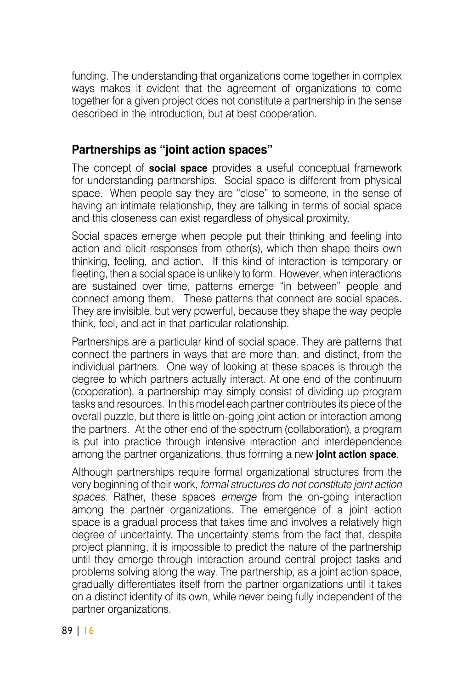funding. The understanding that organizations come together in complex ways makes it evident that the agreement of organizations to come together for a given project does not constitute a partnership in the sense described in the introduction, but at best cooperation.

## **Partnerships as "joint action spaces"**

The concept of **social space** provides a useful conceptual framework for understanding partnerships. Social space is different from physical space. When people say they are "close" to someone, in the sense of having an intimate relationship, they are talking in terms of social space and this closeness can exist regardless of physical proximity.

Social spaces emerge when people put their thinking and feeling into action and elicit responses from other (s), which then shape theirs own thinking, feeling, and action. If this kind of interaction is temporary or fleeting, then a social space is unlikely to form. However, when interactions are sustained over time, patterns emerge "in between" people and connect among them. These patterns that connect are social spaces. They are invisible, but very powerful, because they shape the way people think, feel, and act in that particular relationship.

Partnerships are a particular kind of social space. They are patterns that connect the partners in ways that are more than, and distinct, from the individual partners. One way of looking at these spaces is through the degree to which partners actually interact. At one end of the continuum (cooperation), a partnership may simply consist of dividing up program tasks and resources. In this model each partner contributes its piece of the overall puzzle, but there is little on-going joint action or interaction among the partners. At the other end of the spectrum (collaboration), a program is put into practice through intensive interaction and interdependence among the partner organizations, thus forming a new **joint action space**.

Although partnerships require formal organizational structures from the very beginning of their work, *formal structures do not constitute joint action* spaces. Rather, these spaces *emerge* from the on-going interaction among the partner organizations. The emergence of a joint action space is a gradual process that takes time and involves a relatively high degree of uncertainty. The uncertainty stems from the fact that, despite project planning, it is impossible to predict the nature of the partnership until they emerge through interaction around central project tasks and problems solving along the way. The partnership, as a joint action space, gradually differentiates itself from the partner organizations until it takes on a distinct identity of its own, while never being fully independent of the partner organizations.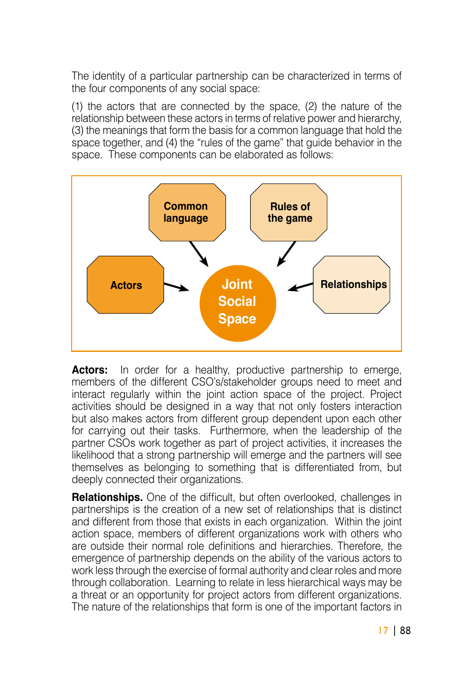The identity of a particular partnership can be characterized in terms of the four components of any social space:

(1) the actors that are connected by the space,  $(2)$  the nature of the relationship between these actors in terms of relative power and hierarchy. (3) the meanings that form the basis for a common language that hold the space together, and (4) the "rules of the game" that quide behavior in the space. These components can be elaborated as follows:



**Actors:** In order for a healthy, productive partnership to emerge, members of the different CSO's/stakeholder groups need to meet and interact regularly within the joint action space of the project. Project activities should be designed in a way that not only fosters interaction but also makes actors from different group dependent upon each other for carrying out their tasks. Furthermore, when the leadership of the partner CSOs work together as part of project activities, it increases the likelihood that a strong partnership will emerge and the partners will see themselves as belonging to something that is differentiated from, but deeply connected their organizations.

**Relationships.** One of the difficult, but often overlooked, challenges in partnerships is the creation of a new set of relationships that is distinct and different from those that exists in each organization. Within the joint action space, members of different organizations work with others who are outside their normal role definitions and hierarchies. Therefore, the emergence of partnership depends on the ability of the various actors to work less through the exercise of formal authority and clear roles and more through collaboration. Learning to relate in less hierarchical ways may be. a threat or an opportunity for project actors from different organizations. The nature of the relationships that form is one of the important factors in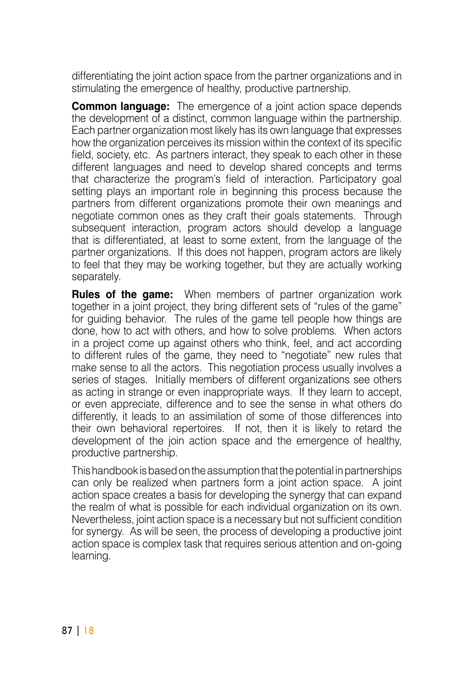differentiating the joint action space from the partner organizations and in stimulating the emergence of healthy, productive partnership.

**Common language:** The emergence of a joint action space depends the development of a distinct, common language within the partnership. Each partner organization most likely has its own language that expresses how the organization perceives its mission within the context of its specific field, society, etc. As partners interact, they speak to each other in these different languages and need to develop shared concepts and terms that characterize the program's field of interaction. Participatory goal setting plays an important role in beginning this process because the partners from different organizations promote their own meanings and negotiate common ones as they craft their goals statements. Through subsequent interaction, program actors should develop a language that is differentiated, at least to some extent, from the language of the partner organizations. If this does not happen, program actors are likely to feel that they may be working together, but they are actually working separately.

**Rules of the game:** When members of partner organization work together in a joint project, they bring different sets of "rules of the game" for quiding behavior. The rules of the game tell people how things are. done, how to act with others, and how to solve problems. When actors in a project come up against others who think, feel, and act according to different rules of the game, they need to "negotiate" new rules that make sense to all the actors. This negotiation process usually involves a series of stages. Initially members of different organizations see others as acting in strange or even inappropriate ways. If they learn to accept, or even appreciate, difference and to see the sense in what others do differently, it leads to an assimilation of some of those differences into their own behavioral repertoires. If not, then it is likely to retard the development of the join action space and the emergence of healthy, productive partnership.

This handbook is based on the assumption that the potential in partnerships can only be realized when partners form a joint action space. A joint action space creates a basis for developing the synergy that can expand the realm of what is possible for each individual organization on its own. Nevertheless, joint action space is a necessary but not sufficient condition for synergy. As will be seen, the process of developing a productive joint action space is complex task that requires serious attention and on-going learning.